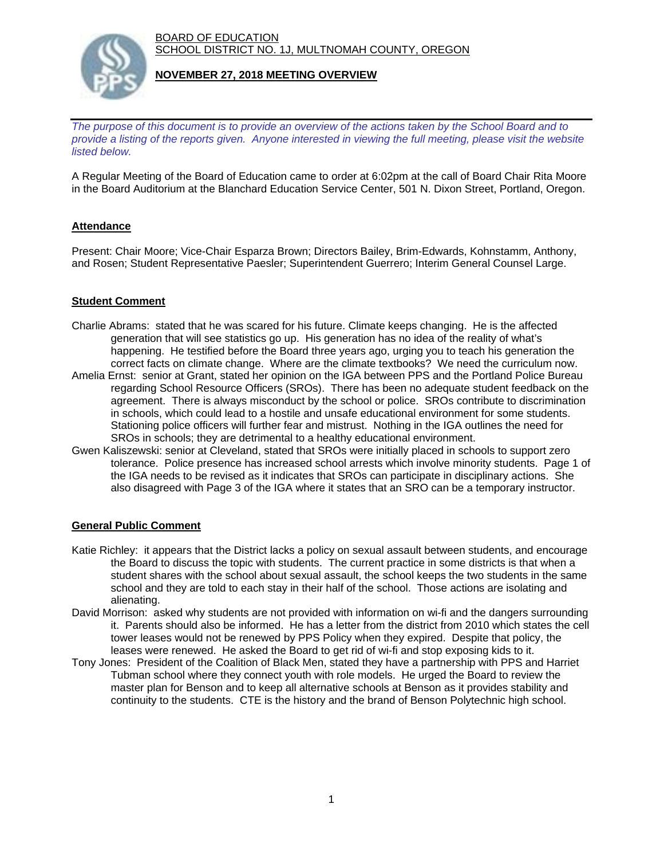BOARD OF EDUCATION SCHOOL DISTRICT NO. 1J, MULTNOMAH COUNTY, OREGON



## **NOVEMBER 27, 2018 MEETING OVERVIEW**

*The purpose of this document is to provide an overview of the actions taken by the School Board and to provide a listing of the reports given. Anyone interested in viewing the full meeting, please visit the website listed below.*

A Regular Meeting of the Board of Education came to order at 6:02pm at the call of Board Chair Rita Moore in the Board Auditorium at the Blanchard Education Service Center, 501 N. Dixon Street, Portland, Oregon.

# **Attendance**

Present: Chair Moore; Vice-Chair Esparza Brown; Directors Bailey, Brim-Edwards, Kohnstamm, Anthony, and Rosen; Student Representative Paesler; Superintendent Guerrero; Interim General Counsel Large.

## **Student Comment**

- Charlie Abrams: stated that he was scared for his future. Climate keeps changing. He is the affected generation that will see statistics go up. His generation has no idea of the reality of what's happening. He testified before the Board three years ago, urging you to teach his generation the correct facts on climate change. Where are the climate textbooks? We need the curriculum now.
- Amelia Ernst: senior at Grant, stated her opinion on the IGA between PPS and the Portland Police Bureau regarding School Resource Officers (SROs). There has been no adequate student feedback on the agreement. There is always misconduct by the school or police. SROs contribute to discrimination in schools, which could lead to a hostile and unsafe educational environment for some students. Stationing police officers will further fear and mistrust. Nothing in the IGA outlines the need for SROs in schools; they are detrimental to a healthy educational environment.
- Gwen Kaliszewski: senior at Cleveland, stated that SROs were initially placed in schools to support zero tolerance. Police presence has increased school arrests which involve minority students. Page 1 of the IGA needs to be revised as it indicates that SROs can participate in disciplinary actions. She also disagreed with Page 3 of the IGA where it states that an SRO can be a temporary instructor.

## **General Public Comment**

- Katie Richley: it appears that the District lacks a policy on sexual assault between students, and encourage the Board to discuss the topic with students. The current practice in some districts is that when a student shares with the school about sexual assault, the school keeps the two students in the same school and they are told to each stay in their half of the school. Those actions are isolating and alienating.
- David Morrison: asked why students are not provided with information on wi-fi and the dangers surrounding it. Parents should also be informed. He has a letter from the district from 2010 which states the cell tower leases would not be renewed by PPS Policy when they expired. Despite that policy, the leases were renewed. He asked the Board to get rid of wi-fi and stop exposing kids to it.
- Tony Jones: President of the Coalition of Black Men, stated they have a partnership with PPS and Harriet Tubman school where they connect youth with role models. He urged the Board to review the master plan for Benson and to keep all alternative schools at Benson as it provides stability and continuity to the students. CTE is the history and the brand of Benson Polytechnic high school.